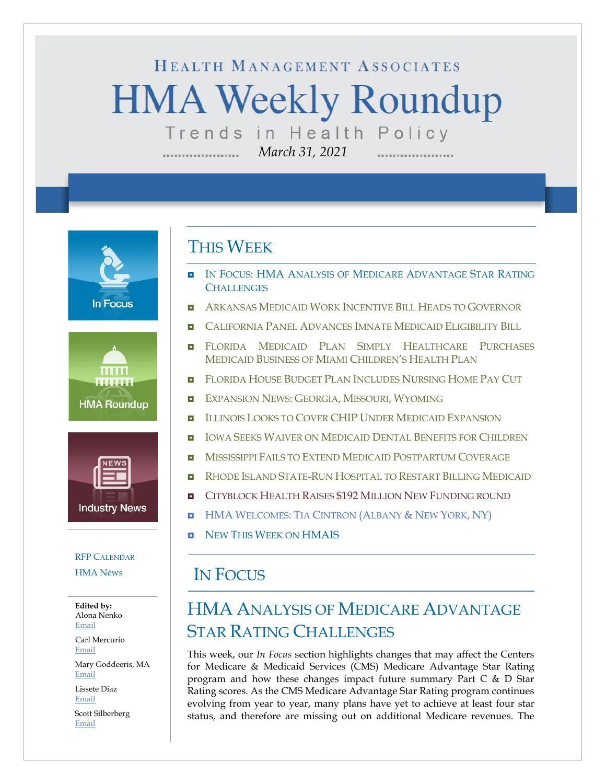# HEALTH MANAGEMENT ASSOCIATES **HMA Weekly Roundup** Trends in Health Policy

*March 31, 2021*

**In Focus** 





#### RFP C[ALENDAR](#page-10-0)

[HMA News](#page-13-0)

**Edited by:** Alona Nenko [Email](mailto:anenko@healthmanagement.com)

Carl Mercurio [Email](mailto:cmercurio@healthmanagement.com)

Mary Goddeeris, MA [Email](mailto:mgoddeeris@healthmanagement.com)

Lissete Diaz [Email](mailto:ldiaz@healthmanagement.com)

Scott Silberberg [Email](mailto:ssilberberg@healthmanagement.com)

#### THIS WEEK

- IN FOCUS: HMA ANALYSIS OF MEDICARE ADVANTAGE STAR RATING **CHALLENGES**
- **ARKANSAS MEDICAID WORK I[NCENTIVE](#page-3-0) BILL HEADS TO GOVERNOR**
- C[ALIFORNIA](#page-3-1) PANEL ADVANCES IMNATE MEDICAID ELIGIBILITY BILL
- **E** FLORIDA MEDICAID PLAN SIMPLY H[EALTHCARE](#page-4-0) PURCHASES MEDICAID B[USINESS OF](#page-4-0) MIAMI CHILDREN'S HEALTH PLAN
- **FLORIDA HOUSE BUDGET PLAN I[NCLUDES](#page-4-0) NURSING HOME PAY CUT**
- **E[XPANSION](#page-4-1) NEWS: GEORGIA, MISSOURI, WYOMING**
- **ILLINOIS LOOKS TO COVER CHIP UNDER MEDICAID E[XPANSION](#page-4-2)**
- **IOWA SEEKS WAIVER ON MEDICAID DENTAL B[ENEFITS FOR](#page-5-0) CHILDREN**
- **NISSISSIPPI FAILS TO EXTEND MEDICAID P[OSTPARTUM](#page-5-1) COVERAGE**
- **RHODE ISLAND STATE-RUN H[OSPITAL TO](#page-7-0) RESTART BILLING MEDICAID**
- **E** CITYBLOCK HEALTH RAISES \$192 MILLION NEW F[UNDING ROUND](#page-9-0)
- **HMA W[ELCOMES](#page-12-0): TIA CINTRON (ALBANY & NEW YORK, NY)**
- **D** NEW THIS WEEK ON [HMAIS](#page-13-0)

#### IN FOCUS

# HMA ANALYSIS OF MEDICARE ADVANTAGE STAR RATING CHALLENGES

This week, our *In Focus* section highlights changes that may affect the Centers for Medicare & Medicaid Services (CMS) Medicare Advantage Star Rating program and how these changes impact future summary Part C & D Star Rating scores. As the CMS Medicare Advantage Star Rating program continues evolving from year to year, many plans have yet to achieve at least four star status, and therefore are missing out on additional Medicare revenues. The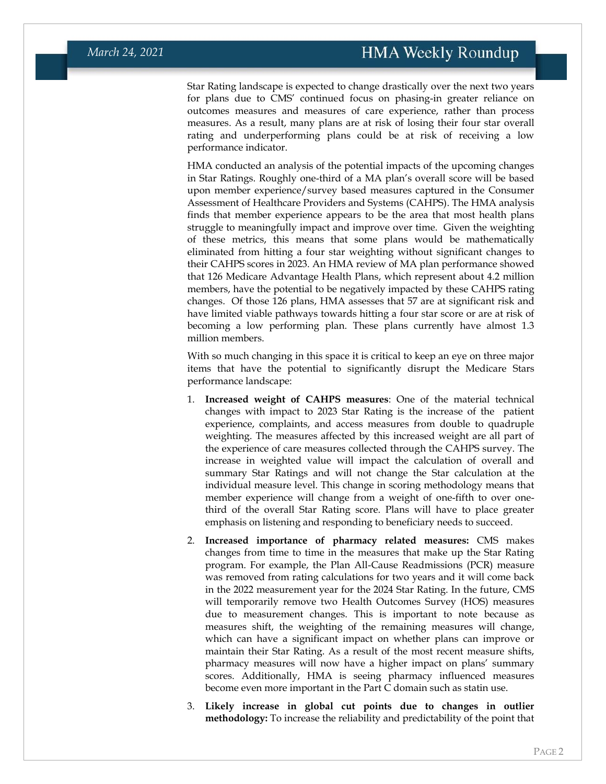Star Rating landscape is expected to change drastically over the next two years for plans due to CMS' continued focus on phasing-in greater reliance on outcomes measures and measures of care experience, rather than process measures. As a result, many plans are at risk of losing their four star overall rating and underperforming plans could be at risk of receiving a low performance indicator.

HMA conducted an analysis of the potential impacts of the upcoming changes in Star Ratings. Roughly one-third of a MA plan's overall score will be based upon member experience/survey based measures captured in the Consumer Assessment of Healthcare Providers and Systems (CAHPS). The HMA analysis finds that member experience appears to be the area that most health plans struggle to meaningfully impact and improve over time. Given the weighting of these metrics, this means that some plans would be mathematically eliminated from hitting a four star weighting without significant changes to their CAHPS scores in 2023. An HMA review of MA plan performance showed that 126 Medicare Advantage Health Plans, which represent about 4.2 million members, have the potential to be negatively impacted by these CAHPS rating changes. Of those 126 plans, HMA assesses that 57 are at significant risk and have limited viable pathways towards hitting a four star score or are at risk of becoming a low performing plan. These plans currently have almost 1.3 million members.

With so much changing in this space it is critical to keep an eye on three major items that have the potential to significantly disrupt the Medicare Stars performance landscape:

- 1. **Increased weight of CAHPS measures**: One of the material technical changes with impact to 2023 Star Rating is the increase of the patient experience, complaints, and access measures from double to quadruple weighting. The measures affected by this increased weight are all part of the experience of care measures collected through the CAHPS survey. The increase in weighted value will impact the calculation of overall and summary Star Ratings and will not change the Star calculation at the individual measure level. This change in scoring methodology means that member experience will change from a weight of one-fifth to over onethird of the overall Star Rating score. Plans will have to place greater emphasis on listening and responding to beneficiary needs to succeed.
- 2. **Increased importance of pharmacy related measures:** CMS makes changes from time to time in the measures that make up the Star Rating program. For example, the Plan All-Cause Readmissions (PCR) measure was removed from rating calculations for two years and it will come back in the 2022 measurement year for the 2024 Star Rating. In the future, CMS will temporarily remove two Health Outcomes Survey (HOS) measures due to measurement changes. This is important to note because as measures shift, the weighting of the remaining measures will change, which can have a significant impact on whether plans can improve or maintain their Star Rating. As a result of the most recent measure shifts, pharmacy measures will now have a higher impact on plans' summary scores. Additionally, HMA is seeing pharmacy influenced measures become even more important in the Part C domain such as statin use.
- 3. **Likely increase in global cut points due to changes in outlier methodology:** To increase the reliability and predictability of the point that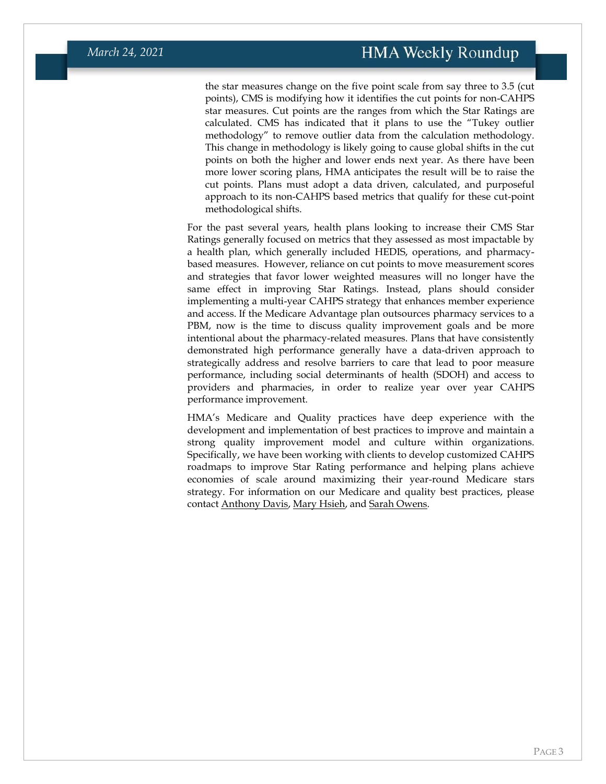the star measures change on the five point scale from say three to 3.5 (cut points), CMS is modifying how it identifies the cut points for non-CAHPS star measures. Cut points are the ranges from which the Star Ratings are calculated. CMS has indicated that it plans to use the "Tukey outlier methodology" to remove outlier data from the calculation methodology. This change in methodology is likely going to cause global shifts in the cut points on both the higher and lower ends next year. As there have been more lower scoring plans, HMA anticipates the result will be to raise the cut points. Plans must adopt a data driven, calculated, and purposeful approach to its non-CAHPS based metrics that qualify for these cut-point methodological shifts.

For the past several years, health plans looking to increase their CMS Star Ratings generally focused on metrics that they assessed as most impactable by a health plan, which generally included HEDIS, operations, and pharmacybased measures. However, reliance on cut points to move measurement scores and strategies that favor lower weighted measures will no longer have the same effect in improving Star Ratings. Instead, plans should consider implementing a multi-year CAHPS strategy that enhances member experience and access. If the Medicare Advantage plan outsources pharmacy services to a PBM, now is the time to discuss quality improvement goals and be more intentional about the pharmacy-related measures. Plans that have consistently demonstrated high performance generally have a data-driven approach to strategically address and resolve barriers to care that lead to poor measure performance, including social determinants of health (SDOH) and access to providers and pharmacies, in order to realize year over year CAHPS performance improvement.

HMA's Medicare and Quality practices have deep experience with the development and implementation of best practices to improve and maintain a strong quality improvement model and culture within organizations. Specifically, we have been working with clients to develop customized CAHPS roadmaps to improve Star Rating performance and helping plans achieve economies of scale around maximizing their year-round Medicare stars strategy. For information on our Medicare and quality best practices, please contac[t Anthony Davis,](mailto:adavis@healthmanagement.com) [Mary Hsieh,](mailto:mhsieh@healthmanagement.com) and [Sarah Owens.](mailto:sowens@healthmanagement.com)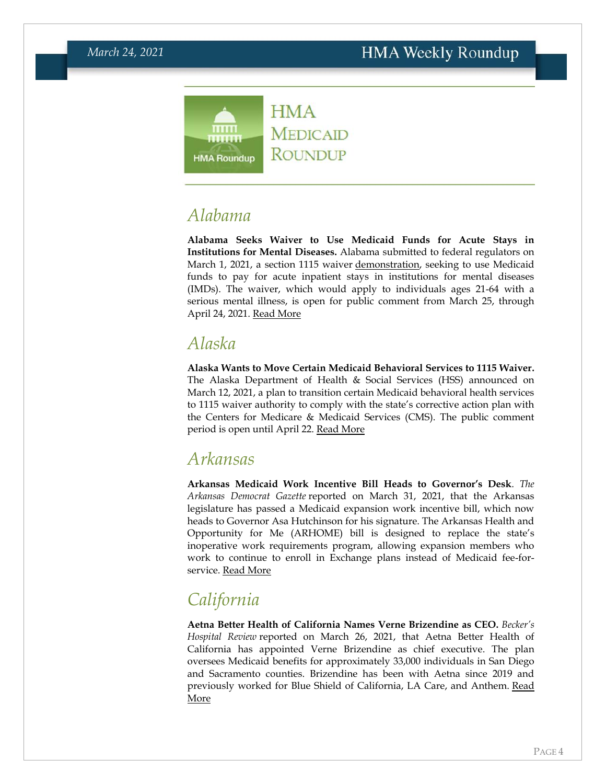

### *Alabama*

**Alabama Seeks Waiver to Use Medicaid Funds for Acute Stays in Institutions for Mental Diseases.** Alabama submitted to federal regulators on March 1, 2021, a section 1115 waiver [demonstration,](https://hmais.healthmanagement.com/alabama/al-medicaid-section-1115-imd-waiver-and-related-documents-mar-21/) seeking to use Medicaid funds to pay for acute inpatient stays in institutions for mental diseases (IMDs). The waiver, which would apply to individuals ages 21-64 with a serious mental illness, is open for public comment from March 25, through April 24, 2021. [Read More](https://1115publiccomments.medicaid.gov/jfe/form/SV_4GwJhwDf2AqXYwe)

### *Alaska*

**Alaska Wants to Move Certain Medicaid Behavioral Services to 1115 Waiver.**  The Alaska Department of Health & Social Services (HSS) announced on March 12, 2021, a plan to transition certain Medicaid behavioral health services to 1115 waiver authority to comply with the state's corrective action plan with the Centers for Medicare & Medicaid Services (CMS). The public comment period is open until April 22. [Read More](https://aws.state.ak.us/OnlinePublicNotices/Notices/View.aspx?id=201757)

#### <span id="page-3-0"></span>*Arkansas*

**Arkansas Medicaid Work Incentive Bill Heads to Governor's Desk**. *The Arkansas Democrat Gazette* reported on March 31, 2021, that the Arkansas legislature has passed a Medicaid expansion work incentive bill, which now heads to Governor Asa Hutchinson for his signature. The Arkansas Health and Opportunity for Me (ARHOME) bill is designed to replace the state's inoperative work requirements program, allowing expansion members who work to continue to enroll in Exchange plans instead of Medicaid fee-forservice. [Read More](https://www.arkansasonline.com/news/2021/mar/31/medicaid-measure-approved-by-house/)

# <span id="page-3-1"></span>*California*

**Aetna Better Health of California Names Verne Brizendine as CEO.** *Becker's Hospital Review* reported on March 26, 2021, that Aetna Better Health of California has appointed Verne Brizendine as chief executive. The plan oversees Medicaid benefits for approximately 33,000 individuals in San Diego and Sacramento counties. Brizendine has been with Aetna since 2019 and previously worked for Blue Shield of California, LA Care, and Anthem. [Read](https://www.beckershospitalreview.com/payer-issues/aetna-names-ceo-for-california-medicaid.html)  [More](https://www.beckershospitalreview.com/payer-issues/aetna-names-ceo-for-california-medicaid.html)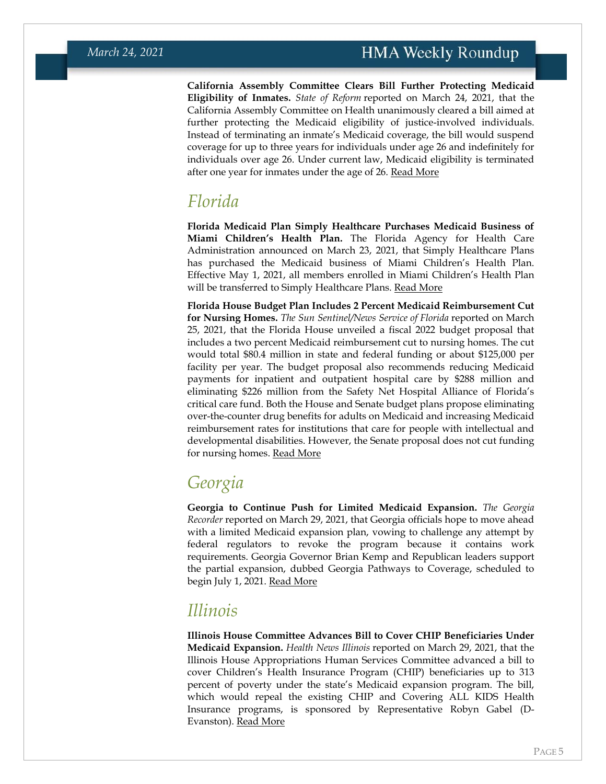**California Assembly Committee Clears Bill Further Protecting Medicaid Eligibility of Inmates.** *State of Reform* reported on March 24, 2021, that the California Assembly Committee on Health unanimously cleared a bill aimed at further protecting the Medicaid eligibility of justice-involved individuals. Instead of terminating an inmate's Medicaid coverage, the bill would suspend coverage for up to three years for individuals under age 26 and indefinitely for individuals over age 26. Under current law, Medicaid eligibility is terminated after one year for inmates under the age of 26. [Read More](https://stateofreform.com/featured/2021/03/california-bill-to-extend-suspension-of-medi-cal-benefits-for-inmates-passes-assembly-health-committee/)

#### <span id="page-4-0"></span>*Florida*

**Florida Medicaid Plan Simply Healthcare Purchases Medicaid Business of Miami Children's Health Plan.** The Florida Agency for Health Care Administration announced on March 23, 2021, that Simply Healthcare Plans has purchased the Medicaid business of Miami Children's Health Plan. Effective May 1, 2021, all members enrolled in Miami Children's Health Plan will be transferred to Simply Healthcare Plans. [Read More](https://ahca.myflorida.com/Medicaid/pdffiles/provider_alerts/2021_03/Miami_Childr_tx_Simply_032321.pdf)

**Florida House Budget Plan Includes 2 Percent Medicaid Reimbursement Cut for Nursing Homes.** *The Sun Sentinel/News Service of Florida* reported on March 25, 2021, that the Florida House unveiled a fiscal 2022 budget proposal that includes a two percent Medicaid reimbursement cut to nursing homes. The cut would total \$80.4 million in state and federal funding or about \$125,000 per facility per year. The budget proposal also recommends reducing Medicaid payments for inpatient and outpatient hospital care by \$288 million and eliminating \$226 million from the Safety Net Hospital Alliance of Florida's critical care fund. Both the House and Senate budget plans propose eliminating over-the-counter drug benefits for adults on Medicaid and increasing Medicaid reimbursement rates for institutions that care for people with intellectual and developmental disabilities. However, the Senate proposal does not cut funding for nursing homes. [Read More](https://www.sun-sentinel.com/news/politics/fl-ne-nsf-medicaid-cuts-nursing-homes-20210325-igyoeemyhvcflpdayha3o5blu4-story.html)

## <span id="page-4-1"></span>*Georgia*

**Georgia to Continue Push for Limited Medicaid Expansion.** *The Georgia Recorder* reported on March 29, 2021, that Georgia officials hope to move ahead with a limited Medicaid expansion plan, vowing to challenge any attempt by federal regulators to revoke the program because it contains work requirements. Georgia Governor Brian Kemp and Republican leaders support the partial expansion, dubbed Georgia Pathways to Coverage, scheduled to begin July 1, 2021. [Read More](https://georgiarecorder.com/2021/03/29/ga-gop-bets-on-limited-medicaid-expansion-despite-feds-push-for-more/)

#### <span id="page-4-2"></span>*Illinois*

**Illinois House Committee Advances Bill to Cover CHIP Beneficiaries Under Medicaid Expansion.** *Health News Illinois* reported on March 29, 2021, that the Illinois House Appropriations Human Services Committee advanced a bill to cover Children's Health Insurance Program (CHIP) beneficiaries up to 313 percent of poverty under the state's Medicaid expansion program. The bill, which would repeal the existing CHIP and Covering ALL KIDS Health Insurance programs, is sponsored by Representative Robyn Gabel (D-Evanston). [Read More](https://healthnewsillinois.com/2021/03/29/house-committee-approves-plan-modifying-childrens-health-insurance-programs-structure/)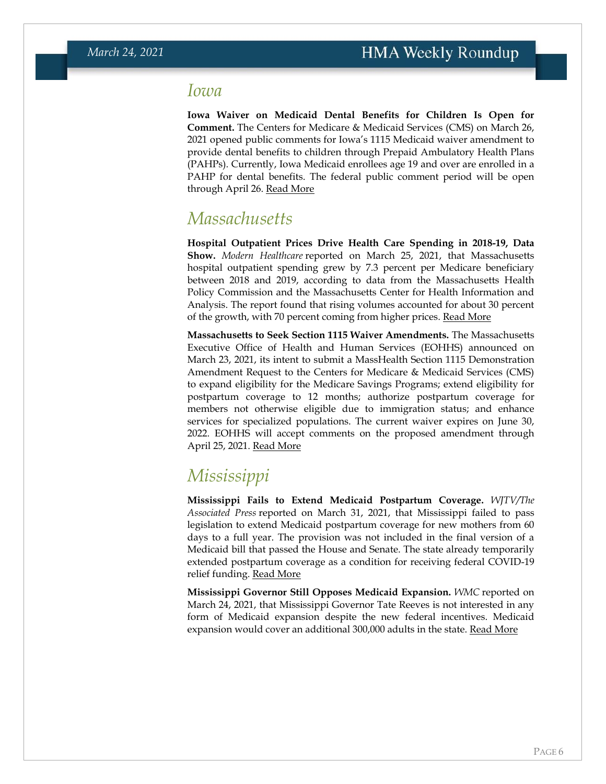#### <span id="page-5-0"></span>*Iowa*

**Iowa Waiver on Medicaid Dental Benefits for Children Is Open for Comment.** The Centers for Medicare & Medicaid Services (CMS) on March 26, 2021 opened public comments for Iowa's 1115 Medicaid waiver amendment to provide dental benefits to children through Prepaid Ambulatory Health Plans (PAHPs). Currently, Iowa Medicaid enrollees age 19 and over are enrolled in a PAHP for dental benefits. The federal public comment period will be open through April 26. [Read More](https://content.govdelivery.com/accounts/USCMSMEDICAID/bulletins/2c9c2c4)

#### *Massachusetts*

**Hospital Outpatient Prices Drive Health Care Spending in 2018-19, Data Show.** *Modern Healthcare* reported on March 25, 2021, that Massachusetts hospital outpatient spending grew by 7.3 percent per Medicare beneficiary between 2018 and 2019, according to data from the Massachusetts Health Policy Commission and the Massachusetts Center for Health Information and Analysis. The report found that rising volumes accounted for about 30 percent of the growth, with 70 percent coming from higher prices. [Read More](https://www.modernhealthcare.com/finance/high-prices-fuel-massachusetts-healthcare-spending-growth)

**Massachusetts to Seek Section 1115 Waiver Amendments.** The Massachusetts Executive Office of Health and Human Services (EOHHS) announced on March 23, 2021, its intent to submit a MassHealth Section 1115 Demonstration Amendment Request to the Centers for Medicare & Medicaid Services (CMS) to expand eligibility for the Medicare Savings Programs; extend eligibility for postpartum coverage to 12 months; authorize postpartum coverage for members not otherwise eligible due to immigration status; and enhance services for specialized populations. The current waiver expires on June 30, 2022. EOHHS will accept comments on the proposed amendment through April 25, 2021. [Read More](https://www.mass.gov/service-details/amendment-of-1115-masshealth-demonstration-waiver-march-2021)

## <span id="page-5-1"></span>*Mississippi*

**Mississippi Fails to Extend Medicaid Postpartum Coverage.** *WJTV/The Associated Press* reported on March 31, 2021, that Mississippi failed to pass legislation to extend Medicaid postpartum coverage for new mothers from 60 days to a full year. The provision was not included in the final version of a Medicaid bill that passed the House and Senate. The state already temporarily extended postpartum coverage as a condition for receiving federal COVID-19 relief funding. [Read More](https://www.wjtv.com/news/no-extension-of-postpartum-medicaid-coverage-in-mississippi/)

**Mississippi Governor Still Opposes Medicaid Expansion.** *WMC* reported on March 24, 2021, that Mississippi Governor Tate Reeves is not interested in any form of Medicaid expansion despite the new federal incentives. Medicaid expansion would cover an additional 300,000 adults in the state. [Read More](https://www.wmcactionnews5.com/2021/03/25/medicaid-not-expected-expand-mississippi/)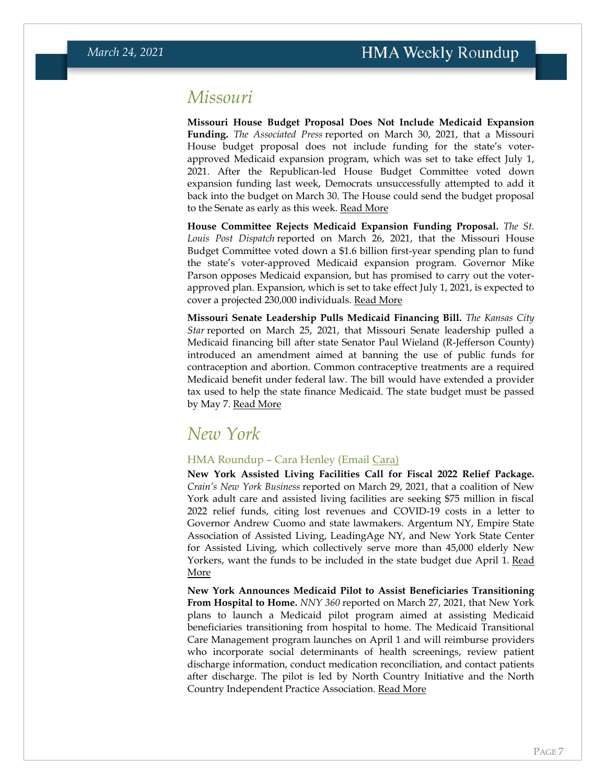#### *Missouri*

**Missouri House Budget Proposal Does Not Include Medicaid Expansion Funding.** *The Associated Press* reported on March 30, 2021, that a Missouri House budget proposal does not include funding for the state's voterapproved Medicaid expansion program, which was set to take effect July 1, 2021. After the Republican-led House Budget Committee voted down expansion funding last week, Democrats unsuccessfully attempted to add it back into the budget on March 30. The House could send the budget proposal to the Senate as early as this week. [Read More](https://www.usnews.com/news/best-states/missouri/articles/2021-03-30/missouri-house-votes-against-funding-medicaid-expansion)

**House Committee Rejects Medicaid Expansion Funding Proposal.** *The St. Louis Post Dispatch* reported on March 26, 2021, that the Missouri House Budget Committee voted down a \$1.6 billion first-year spending plan to fund the state's voter-approved Medicaid expansion program. Governor Mike Parson opposes Medicaid expansion, but has promised to carry out the voterapproved plan. Expansion, which is set to take effect July 1, 2021, is expected to cover a projected 230,000 individuals. [Read More](https://www.stltoday.com/news/local/govt-and-politics/republicans-vote-down-funding-for-medicaid-expansion-in-missouri/article_7faaa5f8-8357-52aa-bc68-ed2b29a3301b.html)

**Missouri Senate Leadership Pulls Medicaid Financing Bill.** *The Kansas City Star* reported on March 25, 2021, that Missouri Senate leadership pulled a Medicaid financing bill after state Senator Paul Wieland (R-Jefferson County) introduced an amendment aimed at banning the use of public funds for contraception and abortion. Common contraceptive treatments are a required Medicaid benefit under federal law. The bill would have extended a provider tax used to help the state finance Medicaid. The state budget must be passed by May 7. [Read More](https://www.kansascity.com/news/politics-government/article250188705.html)

#### *New York*

#### HMA Roundup – Cara Henley (Email [Cara\)](mailto:chenley@healthmanagement.com)

**New York Assisted Living Facilities Call for Fiscal 2022 Relief Package.** *Crain's New York Business* reported on March 29, 2021, that a coalition of New York adult care and assisted living facilities are seeking \$75 million in fiscal 2022 relief funds, citing lost revenues and COVID-19 costs in a letter to Governor Andrew Cuomo and state lawmakers. Argentum NY, Empire State Association of Assisted Living, LeadingAge NY, and New York State Center for Assisted Living, which collectively serve more than 45,000 elderly New Yorkers, want the funds to be included in the state budget due April 1. Read [More](https://www.crainsnewyork.com/health-pulse/health-care-industrys-pandemic-era-legal-shields-poised-repeal)

**New York Announces Medicaid Pilot to Assist Beneficiaries Transitioning From Hospital to Home.** *NNY 360* reported on March 27, 2021, that New York plans to launch a Medicaid pilot program aimed at assisting Medicaid beneficiaries transitioning from hospital to home. The Medicaid Transitional Care Management program launches on April 1 and will reimburse providers who incorporate social determinants of health screenings, review patient discharge information, conduct medication reconciliation, and contact patients after discharge. The pilot is led by North Country Initiative and the North Country Independent Practice Association. [Read More](https://www.nny360.com/communitynews/healthmatters/pilot-program-introduced-to-support-medicaid-patients-discharged-from-hospital-care/article_bf7f615f-1970-5021-88cb-c8603e6e5f15.html)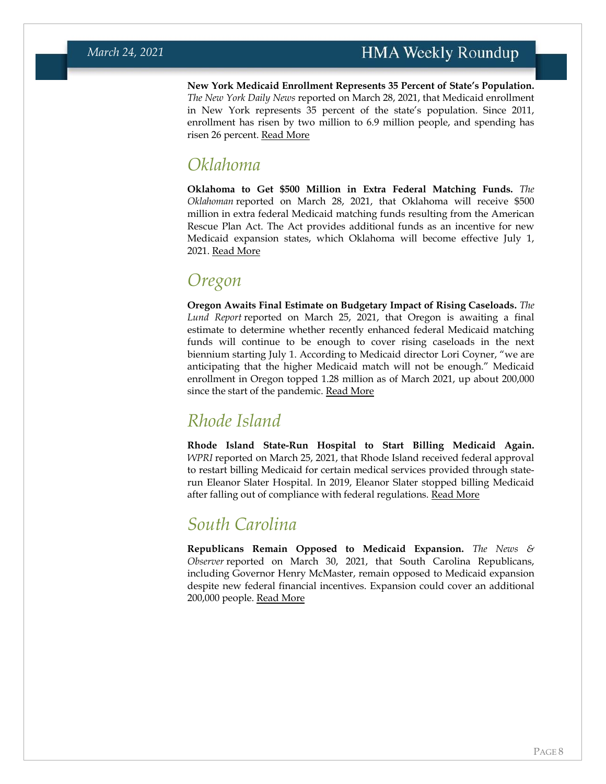**New York Medicaid Enrollment Represents 35 Percent of State's Population.**  *The New York Daily News* reported on March 28, 2021, that Medicaid enrollment in New York represents 35 percent of the state's population. Since 2011, enrollment has risen by two million to 6.9 million people, and spending has risen 26 percent. [Read More](https://www.nydailynews.com/opinion/ny-edit-covid-long-term-care-payments-20210328-dmcwpootundxpdpw2gusrravqi-story.html)

#### *Oklahoma*

**Oklahoma to Get \$500 Million in Extra Federal Matching Funds.** *The Oklahoman* reported on March 28, 2021, that Oklahoma will receive \$500 million in extra federal Medicaid matching funds resulting from the American Rescue Plan Act. The Act provides additional funds as an incentive for new Medicaid expansion states, which Oklahoma will become effective July 1, 2021. [Read More](https://www.oklahoman.com/story/news/healthcare/2021/03/28/oklahoma-to-receive-millions-in-medicaid-funding-from-stimulus/6966974002/)

### *Oregon*

**Oregon Awaits Final Estimate on Budgetary Impact of Rising Caseloads.** *The Lund Report* reported on March 25, 2021, that Oregon is awaiting a final estimate to determine whether recently enhanced federal Medicaid matching funds will continue to be enough to cover rising caseloads in the next biennium starting July 1. According to Medicaid director Lori Coyner, "we are anticipating that the higher Medicaid match will not be enough." Medicaid enrollment in Oregon topped 1.28 million as of March 2021, up about 200,000 since the start of the pandemic. [Read More](https://www.thelundreport.org/content/medicaid-enrollment-surges-nearly-13-million-30-oregon%E2%80%99s-population%C2%A0)

## <span id="page-7-0"></span>*Rhode Island*

**Rhode Island State-Run Hospital to Start Billing Medicaid Again.** *WPRI* reported on March 25, 2021, that Rhode Island received federal approval to restart billing Medicaid for certain medical services provided through staterun Eleanor Slater Hospital. In 2019, Eleanor Slater stopped billing Medicaid after falling out of compliance with federal regulations. [Read More](https://www.wpri.com/target-12/ri-poised-to-recoup-millions-after-medicaid-billing-approval-at-eleanor-slater-hospital/)

#### *South Carolina*

**Republicans Remain Opposed to Medicaid Expansion.** *The News & Observer* reported on March 30, 2021, that South Carolina Republicans, including Governor Henry McMaster, remain opposed to Medicaid expansion despite new federal financial incentives. Expansion could cover an additional 200,000 people. [Read More](https://www.newsobserver.com/news/article250318564.html)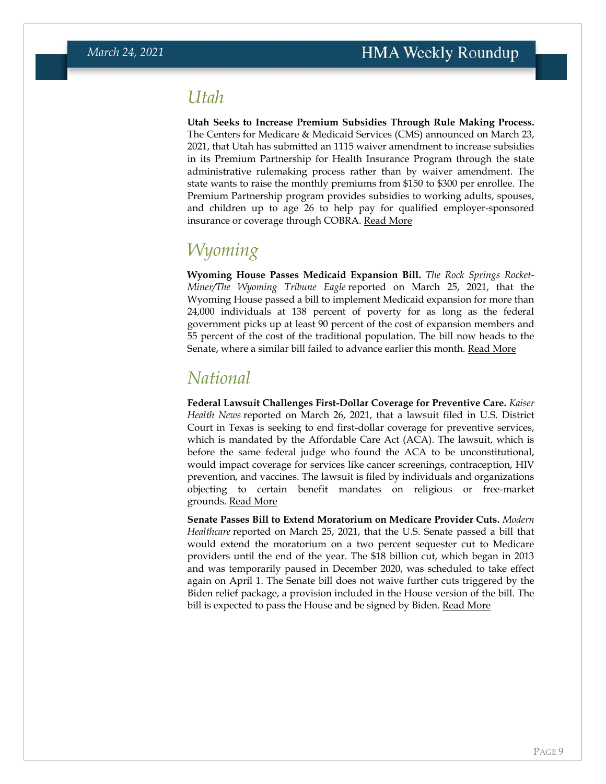#### *Utah*

**Utah Seeks to Increase Premium Subsidies Through Rule Making Process.** The Centers for Medicare & Medicaid Services (CMS) announced on March 23, 2021, that Utah has submitted an 1115 waiver amendment to increase subsidies in its Premium Partnership for Health Insurance Program through the state administrative rulemaking process rather than by waiver amendment. The state wants to raise the monthly premiums from \$150 to \$300 per enrollee. The Premium Partnership program provides subsidies to working adults, spouses, and children up to age 26 to help pay for qualified employer-sponsored insurance or coverage through COBRA. [Read More](https://content.govdelivery.com/accounts/USCMSMEDICAID/bulletins/2c98fec)

#### *Wyoming*

**Wyoming House Passes Medicaid Expansion Bill.** *The Rock Springs Rocket-Miner/The Wyoming Tribune Eagle* reported on March 25, 2021, that the Wyoming House passed a bill to implement Medicaid expansion for more than 24,000 individuals at 138 percent of poverty for as long as the federal government picks up at least 90 percent of the cost of expansion members and 55 percent of the cost of the traditional population. The bill now heads to the Senate, where a similar bill failed to advance earlier this month. [Read More](https://www.wyomingnews.com/rocketminer/news/state/medicaid-expansion-bill-wins-final-house-approval/article_0c354c27-fdc1-5953-a88b-f8fefabb4f16.html)

#### *National*

**Federal Lawsuit Challenges First-Dollar Coverage for Preventive Care.** *Kaiser Health News* reported on March 26, 2021, that a lawsuit filed in U.S. District Court in Texas is seeking to end first-dollar coverage for preventive services, which is mandated by the Affordable Care Act (ACA). The lawsuit, which is before the same federal judge who found the ACA to be unconstitutional, would impact coverage for services like cancer screenings, contraception, HIV prevention, and vaccines. The lawsuit is filed by individuals and organizations objecting to certain benefit mandates on religious or free-market grounds. [Read More](https://khn.org/news/article/lawsuit-targets-health-law-no-charge-coverage-of-preventive-exams-like-mammograms/)

**Senate Passes Bill to Extend Moratorium on Medicare Provider Cuts.** *Modern Healthcare* reported on March 25, 2021, that the U.S. Senate passed a bill that would extend the moratorium on a two percent sequester cut to Medicare providers until the end of the year. The \$18 billion cut, which began in 2013 and was temporarily paused in December 2020, was scheduled to take effect again on April 1. The Senate bill does not waive further cuts triggered by the Biden relief package, a provision included in the House version of the bill. The bill is expected to pass the House and be signed by Biden. [Read More](https://www.modernhealthcare.com/medicare/delay-medicare-sequester-cuts-passed-senate)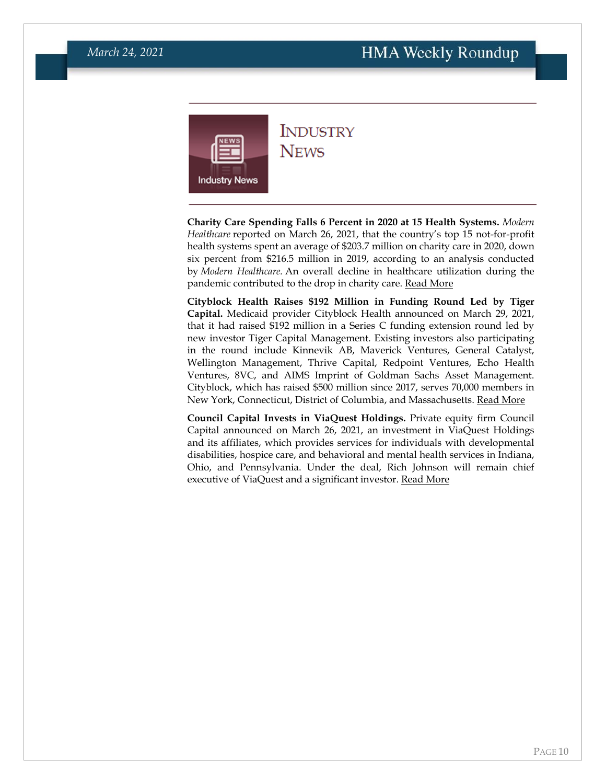<span id="page-9-0"></span>

#### **INDUSTRY NEWS**

**Charity Care Spending Falls 6 Percent in 2020 at 15 Health Systems.** *Modern Healthcare* reported on March 26, 2021, that the country's top 15 not-for-profit health systems spent an average of \$203.7 million on charity care in 2020, down six percent from \$216.5 million in 2019, according to an analysis conducted by *Modern Healthcare.* An overall decline in healthcare utilization during the pandemic contributed to the drop in charity care. [Read More](https://www.modernhealthcare.com/finance/covid-19-curbed-health-systems-charity-care-spending-2020)

**Cityblock Health Raises \$192 Million in Funding Round Led by Tiger Capital.** Medicaid provider Cityblock Health announced on March 29, 2021, that it had raised \$192 million in a Series C funding extension round led by new investor Tiger Capital Management. Existing investors also participating in the round include Kinnevik AB, Maverick Ventures, General Catalyst, Wellington Management, Thrive Capital, Redpoint Ventures, Echo Health Ventures, 8VC, and AIMS Imprint of Goldman Sachs Asset Management. Cityblock, which has raised \$500 million since 2017, serves 70,000 members in New York, Connecticut, District of Columbia, and Massachusetts. [Read More](https://www.prnewswire.com/news-releases/cityblock-health-raises-192-million-in-series-c-extension-funding-to-expand-health-care-model-to-the-millions-of-underserved-people-on-medicaid-301257528.html)

**Council Capital Invests in ViaQuest Holdings.** Private equity firm Council Capital announced on March 26, 2021, an investment in ViaQuest Holdings and its affiliates, which provides services for individuals with developmental disabilities, hospice care, and behavioral and mental health services in Indiana, Ohio, and Pennsylvania. Under the deal, Rich Johnson will remain chief executive of ViaQuest and a significant investor. [Read More](https://www.councilcapital.com/news/council-capital-announces-partnership-with-viaquest/)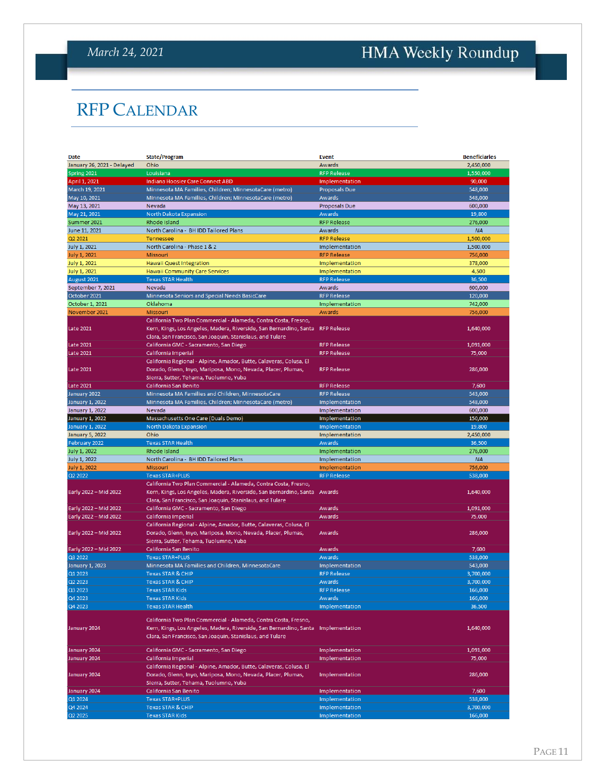# <span id="page-10-0"></span>HMA Weekly Roundup

# RFP CALENDAR

| Date                       | <b>State/Program</b>                                                           | <b>Event</b>         | <b>Beneficiaries</b> |
|----------------------------|--------------------------------------------------------------------------------|----------------------|----------------------|
| January 26, 2021 - Delayed | Ohio                                                                           | Awards               | 2,450,000            |
| Spring 2021                | Louisiana                                                                      | <b>RFP Release</b>   | 1,550,000            |
| April 1, 2021              | Indiana Hoosier Care Connect ABD                                               | Implementation       | 90,000               |
| March 19, 2021             | Minnesota MA Families, Children; MinnesotaCare (metro)                         | <b>Proposals Due</b> | 548,000              |
| May 10, 2021               | Minnesota MA Families, Children; MinnesotaCare (metro)                         | Awards               | 548,000              |
| May 13, 2021               | Nevada                                                                         | Proposals Due        | 600,000              |
| May 21, 2021               | North Dakota Expansion                                                         | Awards               | 19,800               |
| Summer 2021                | Rhode Island                                                                   | <b>RFP Release</b>   | 276,000              |
| June 11, 2021              | North Carolina - BH IDD Tailored Plans                                         | Awards               | <b>NA</b>            |
| Q2 2021                    | <b>Tennessee</b>                                                               | <b>RFP Release</b>   | 1,500,000            |
| July 1, 2021               | North Carolina - Phase 1 & 2                                                   | Implementation       | 1,500,000            |
| <b>July 1, 2021</b>        | <b>Missouri</b>                                                                | <b>RFP Release</b>   | 756,000              |
| <b>July 1, 2021</b>        | Hawaii Quest Integration                                                       | Implementation       | 378,000              |
| July 1, 2021               | <b>Hawaii Community Care Services</b>                                          | Implementation       | 4,500                |
| August 2021                | <b>Texas STAR Health</b>                                                       | <b>RFP Release</b>   | 36,500               |
| September 7, 2021          | <b>Nevada</b>                                                                  | Awards               | 600,000              |
| October 2021               | Minnesota Seniors and Special Needs BasicCare                                  | <b>RFP Release</b>   | 120,000              |
| October 1, 2021            | Oklahoma                                                                       | Implementation       | 742,000              |
| November 2021              | Missouri                                                                       | Awards               | 756,000              |
|                            | California Two Plan Commercial - Alameda, Contra Costa, Fresno,                |                      |                      |
| <b>Late 2021</b>           | Kern, Kings, Los Angeles, Madera, Riverside, San Bernardino, Santa RFP Release |                      | 1,640,000            |
|                            | Clara, San Francisco, San Joaquin, Stanislaus, and Tulare                      |                      |                      |
| <b>Late 2021</b>           | California GMC - Sacramento, San Diego                                         | <b>RFP Release</b>   | 1,091,000            |
| <b>Late 2021</b>           | California Imperial                                                            | <b>RFP Release</b>   | 75,000               |
|                            | California Regional - Alpine, Amador, Butte, Calaveras, Colusa, El             |                      |                      |
|                            |                                                                                | <b>RFP Release</b>   |                      |
| <b>Late 2021</b>           | Dorado, Glenn, Inyo, Mariposa, Mono, Nevada, Placer, Plumas,                   |                      | 286,000              |
| <b>Late 2021</b>           | Sierra, Sutter, Tehama, Tuolumne, Yuba<br>California San Benito                |                      |                      |
|                            |                                                                                | <b>RFP Release</b>   | 7,600                |
| January 2022               | Minnesota MA Families and Children, MinnesotaCare                              | <b>RFP Release</b>   | 543,000              |
| January 1, 2022            | Minnesota MA Families, Children; MinnesotaCare (metro)                         | Implementation       | 548,000              |
| January 1, 2022            | Nevada                                                                         | Implementation       | 600,000              |
| January 1, 2022            | Massachusetts One Care (Duals Demo)                                            | Implementation       | 150,000              |
| January 1, 2022            | North Dakota Expansion                                                         | Implementation       | 19,800               |
| <b>January 5, 2022</b>     | Ohio                                                                           | Implementation       | 2,450,000            |
| February 2022              | <b>Texas STAR Health</b>                                                       | Awards               | 36,500               |
| <b>July 1, 2022</b>        | Rhode Island                                                                   | Implementation       | 276,000              |
| <b>July 1, 2022</b>        | North Carolina - BH IDD Tailored Plans                                         | Implementation       | <b>NA</b>            |
| July 1, 2022               | Missouri                                                                       | Implementation       | 756,000              |
| Q2 2022                    | <b>Texas STAR+PLUS</b>                                                         | <b>RFP Release</b>   | 538,000              |
|                            | California Two Plan Commercial - Alameda, Contra Costa, Fresno,                |                      |                      |
| Early 2022 - Mid 2022      | Kern, Kings, Los Angeles, Madera, Riverside, San Bernardino, Santa Awards      |                      | 1,640,000            |
|                            | Clara, San Francisco, San Joaquin, Stanislaus, and Tulare                      |                      |                      |
| Early 2022 - Mid 2022      | California GMC - Sacramento, San Diego                                         | Awards               | 1,091,000            |
| Early 2022 - Mid 2022      | California Imperial                                                            | Awards               | 75,000               |
|                            | California Regional - Alpine, Amador, Butte, Calaveras, Colusa, El             |                      |                      |
| Early 2022 - Mid 2022      | Dorado, Glenn, Inyo, Mariposa, Mono, Nevada, Placer, Plumas,                   | Awards               | 286,000              |
|                            | Sierra, Sutter, Tehama, Tuolumne, Yuba                                         |                      |                      |
| Early 2022 - Mid 2022      | California San Benito                                                          | Awards               | 7,600                |
| Q3 2022                    | <b>Texas STAR+PLUS</b>                                                         | Awards               | 538,000              |
| <b>January 1, 2023</b>     | Minnesota MA Families and Children, MinnesotaCare                              | Implementation       | 543,000              |
| Q1 2023                    | <b>Texas STAR &amp; CHIP</b>                                                   | <b>RFP Release</b>   | 3,700,000            |
| Q2 2023                    | <b>Texas STAR &amp; CHIP</b>                                                   | Awards               | 3,700,000            |
| Q3 2023                    | <b>Texas STAR Kids</b>                                                         | <b>RFP Release</b>   | 166,000              |
| Q4 2023                    | Texas STAR Kids                                                                | Awards               | 166,000              |
| Q4 2023                    | <b>Texas STAR Health</b>                                                       | Implementation       | 36,500               |
|                            |                                                                                |                      |                      |
|                            | California Two Plan Commercial - Alameda, Contra Costa, Fresno,                |                      |                      |
| January 2024               | Kern, Kings, Los Angeles, Madera, Riverside, San Bernardino, Santa             | Implementation       | 1,640,000            |
|                            | Clara, San Francisco, San Joaquin, Stanislaus, and Tulare                      |                      |                      |
| January 2024               | California GMC - Sacramento, San Diego                                         | Implementation       | 1,091,000            |
| January 2024               | California Imperial                                                            | Implementation       | 75,000               |
|                            | California Regional - Alpine, Amador, Butte, Calaveras, Colusa, El             |                      |                      |
| January 2024               | Dorado, Glenn, Inyo, Mariposa, Mono, Nevada, Placer, Plumas,                   | Implementation       | 286,000              |
|                            | Sierra, Sutter, Tehama, Tuolumne, Yuba                                         |                      |                      |
| January 2024               | California San Benito                                                          | Implementation       | 7,600                |
| Q1 2024                    | <b>Texas STAR+PLUS</b>                                                         | Implementation       | 538,000              |
| Q4 2024                    | <b>Texas STAR &amp; CHIP</b>                                                   | Implementation       | 3,700,000            |
| Q2 2025                    | <b>Texas STAR Kids</b>                                                         | Implementation       | 166,000              |
|                            |                                                                                |                      |                      |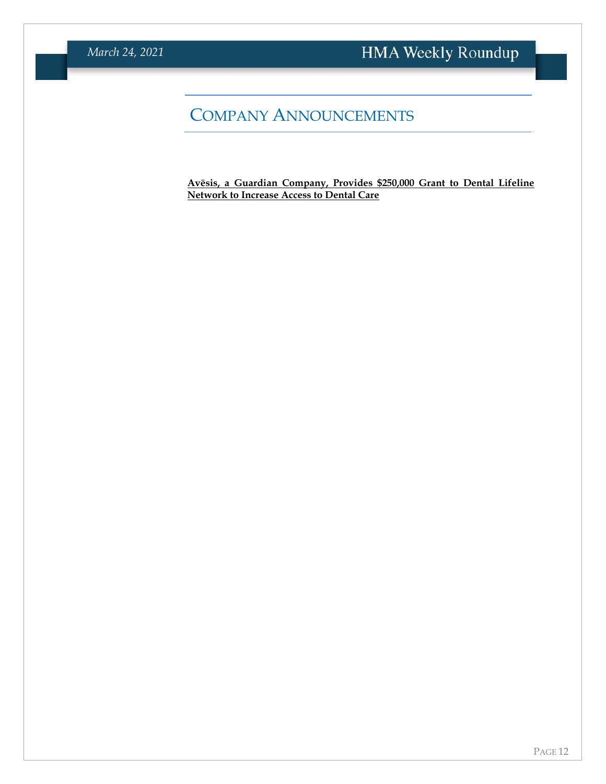# COMPANY ANNOUNCEMENTS

**[Avēsis, a Guardian Company, Provides \\$250,000 Grant](https://www.prnewswire.com/news-releases/avsis-a-guardian-company-provides-250-000-grant-to-dental-lifeline-network-to-increase-access-to-dental-care-301259703.html) to Dental Lifeline [Network to Increase Access to Dental Care](https://www.prnewswire.com/news-releases/avsis-a-guardian-company-provides-250-000-grant-to-dental-lifeline-network-to-increase-access-to-dental-care-301259703.html)**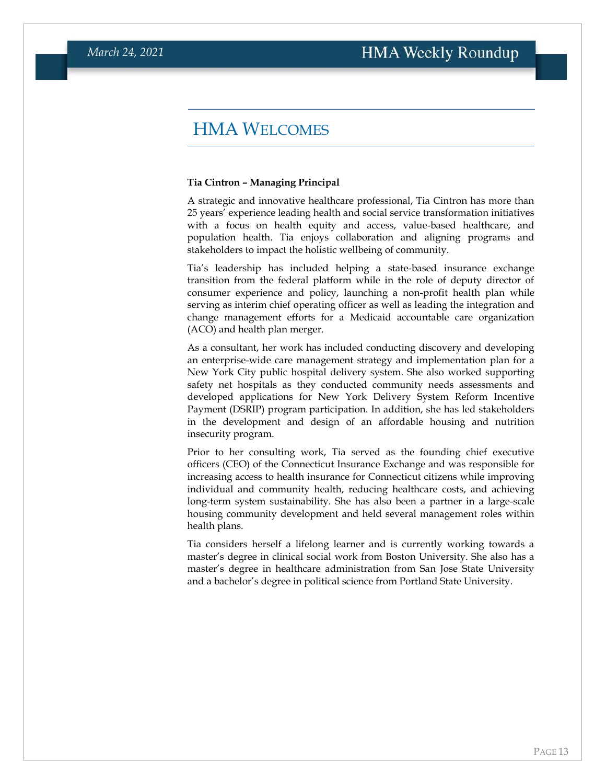#### HMA WELCOMES

#### <span id="page-12-0"></span>**Tia Cintron – Managing Principal**

A strategic and innovative healthcare professional, Tia Cintron has more than 25 years' experience leading health and social service transformation initiatives with a focus on health equity and access, value-based healthcare, and population health. Tia enjoys collaboration and aligning programs and stakeholders to impact the holistic wellbeing of community.

Tia's leadership has included helping a state-based insurance exchange transition from the federal platform while in the role of deputy director of consumer experience and policy, launching a non-profit health plan while serving as interim chief operating officer as well as leading the integration and change management efforts for a Medicaid accountable care organization (ACO) and health plan merger.

As a consultant, her work has included conducting discovery and developing an enterprise-wide care management strategy and implementation plan for a New York City public hospital delivery system. She also worked supporting safety net hospitals as they conducted community needs assessments and developed applications for New York Delivery System Reform Incentive Payment (DSRIP) program participation. In addition, she has led stakeholders in the development and design of an affordable housing and nutrition insecurity program.

Prior to her consulting work, Tia served as the founding chief executive officers (CEO) of the Connecticut Insurance Exchange and was responsible for increasing access to health insurance for Connecticut citizens while improving individual and community health, reducing healthcare costs, and achieving long-term system sustainability. She has also been a partner in a large-scale housing community development and held several management roles within health plans.

Tia considers herself a lifelong learner and is currently working towards a master's degree in clinical social work from Boston University. She also has a master's degree in healthcare administration from San Jose State University and a bachelor's degree in political science from Portland State University.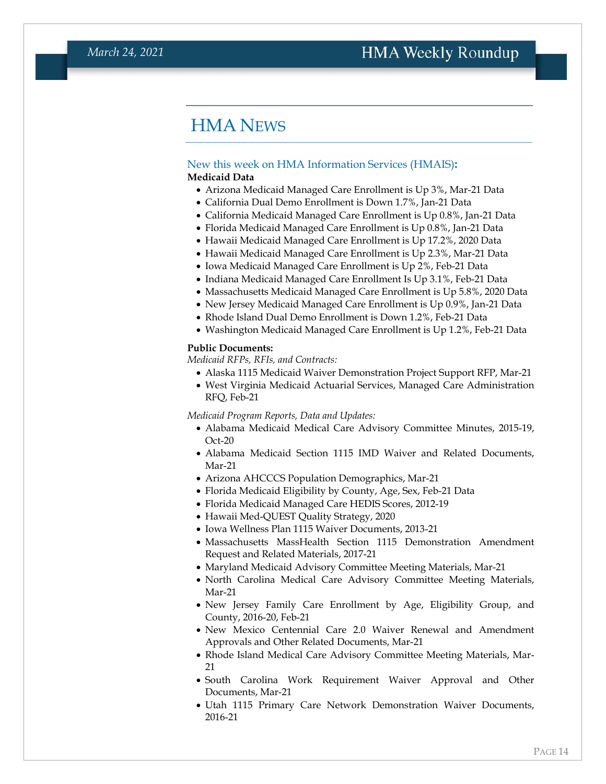### HMA NEWS

#### <span id="page-13-0"></span>New this week on HMA Information Services (HMAIS)**: Medicaid Data**

- Arizona Medicaid Managed Care Enrollment is Up 3%, Mar-21 Data
- California Dual Demo Enrollment is Down 1.7%, Jan-21 Data
- California Medicaid Managed Care Enrollment is Up 0.8%, Jan-21 Data
- Florida Medicaid Managed Care Enrollment is Up 0.8%, Jan-21 Data
- Hawaii Medicaid Managed Care Enrollment is Up 17.2%, 2020 Data
- Hawaii Medicaid Managed Care Enrollment is Up 2.3%, Mar-21 Data
- Iowa Medicaid Managed Care Enrollment is Up 2%, Feb-21 Data
- Indiana Medicaid Managed Care Enrollment Is Up 3.1%, Feb-21 Data
- Massachusetts Medicaid Managed Care Enrollment is Up 5.8%, 2020 Data
- New Jersey Medicaid Managed Care Enrollment is Up 0.9%, Jan-21 Data
- Rhode Island Dual Demo Enrollment is Down 1.2%, Feb-21 Data
- Washington Medicaid Managed Care Enrollment is Up 1.2%, Feb-21 Data

#### **Public Documents:**

*Medicaid RFPs, RFIs, and Contracts:*

- Alaska 1115 Medicaid Waiver Demonstration Project Support RFP, Mar-21
- West Virginia Medicaid Actuarial Services, Managed Care Administration RFQ, Feb-21

*Medicaid Program Reports, Data and Updates:*

- Alabama Medicaid Medical Care Advisory Committee Minutes, 2015-19, Oct-20
- Alabama Medicaid Section 1115 IMD Waiver and Related Documents, Mar-21
- Arizona AHCCCS Population Demographics, Mar-21
- Florida Medicaid Eligibility by County, Age, Sex, Feb-21 Data
- Florida Medicaid Managed Care HEDIS Scores, 2012-19
- Hawaii Med-QUEST Quality Strategy, 2020
- Iowa Wellness Plan 1115 Waiver Documents, 2013-21
- Massachusetts MassHealth Section 1115 Demonstration Amendment Request and Related Materials, 2017-21
- Maryland Medicaid Advisory Committee Meeting Materials, Mar-21
- North Carolina Medical Care Advisory Committee Meeting Materials, Mar-21
- New Jersey Family Care Enrollment by Age, Eligibility Group, and County, 2016-20, Feb-21
- New Mexico Centennial Care 2.0 Waiver Renewal and Amendment Approvals and Other Related Documents, Mar-21
- Rhode Island Medical Care Advisory Committee Meeting Materials, Mar-21
- South Carolina Work Requirement Waiver Approval and Other Documents, Mar-21
- Utah 1115 Primary Care Network Demonstration Waiver Documents, 2016-21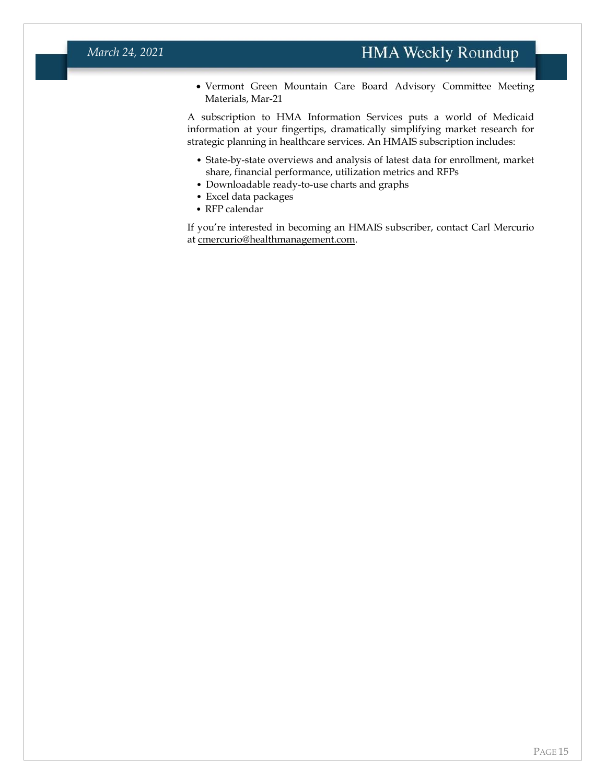• Vermont Green Mountain Care Board Advisory Committee Meeting Materials, Mar-21

A subscription to HMA Information Services puts a world of Medicaid information at your fingertips, dramatically simplifying market research for strategic planning in healthcare services. An HMAIS subscription includes:

- State-by-state overviews and analysis of latest data for enrollment, market share, financial performance, utilization metrics and RFPs
- Downloadable ready-to-use charts and graphs
- Excel data packages
- RFP calendar

If you're interested in becoming an HMAIS subscriber, contact Carl Mercurio at [cmercurio@healthmanagement.com.](mailto:cmercurio@healthmanagement.com)